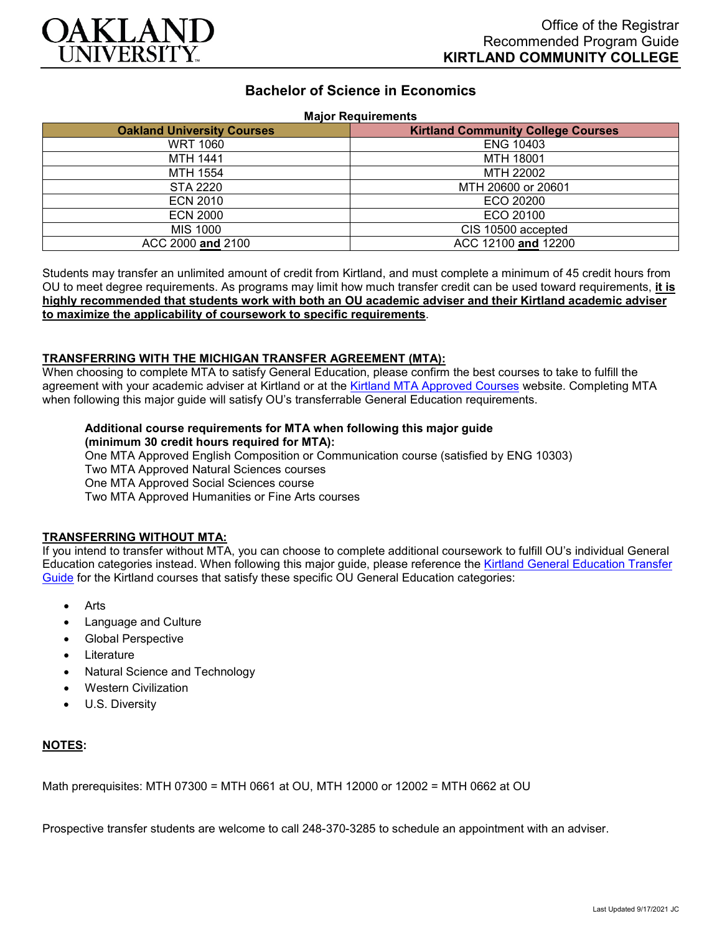

# **Bachelor of Science in Economics**

### **Major Requirements**

| <b>Oakland University Courses</b> | <b>Kirtland Community College Courses</b> |
|-----------------------------------|-------------------------------------------|
| <b>WRT 1060</b>                   | <b>ENG 10403</b>                          |
| <b>MTH 1441</b>                   | MTH 18001                                 |
| MTH 1554                          | MTH 22002                                 |
| STA 2220                          | MTH 20600 or 20601                        |
| <b>ECN 2010</b>                   | ECO 20200                                 |
| <b>ECN 2000</b>                   | ECO 20100                                 |
| MIS 1000                          | CIS 10500 accepted                        |
| ACC 2000 and 2100                 | ACC 12100 and 12200                       |

Students may transfer an unlimited amount of credit from Kirtland, and must complete a minimum of 45 credit hours from OU to meet degree requirements. As programs may limit how much transfer credit can be used toward requirements, **it is highly recommended that students work with both an OU academic adviser and their Kirtland academic adviser to maximize the applicability of coursework to specific requirements**.

### **TRANSFERRING WITH THE MICHIGAN TRANSFER AGREEMENT (MTA):**

When choosing to complete MTA to satisfy General Education, please confirm the best courses to take to fulfill the agreement with your academic adviser at Kirtland or at the [Kirtland MTA Approved Courses](https://www.kirtland.edu/registrar/michigan-transfer-agreement) website. Completing MTA when following this major guide will satisfy OU's transferrable General Education requirements.

## **Additional course requirements for MTA when following this major guide (minimum 30 credit hours required for MTA):**

One MTA Approved English Composition or Communication course (satisfied by ENG 10303) Two MTA Approved Natural Sciences courses

One MTA Approved Social Sciences course

Two MTA Approved Humanities or Fine Arts courses

#### **TRANSFERRING WITHOUT MTA:**

If you intend to transfer without MTA, you can choose to complete additional coursework to fulfill OU's individual General Education categories instead. When following this major guide, please reference the Kirtland General Education Transfer [Guide](https://www.oakland.edu/Assets/Oakland/program-guides/kirtland-community-college/university-general-education-requirements/Kirtland%20Gen%20Ed.pdf) for the Kirtland courses that satisfy these specific OU General Education categories:

- **Arts**
- Language and Culture
- Global Perspective
- **Literature**
- Natural Science and Technology
- Western Civilization
- U.S. Diversity

## **NOTES:**

Math prerequisites: MTH 07300 = MTH 0661 at OU, MTH 12000 or 12002 = MTH 0662 at OU

Prospective transfer students are welcome to call 248-370-3285 to schedule an appointment with an adviser.